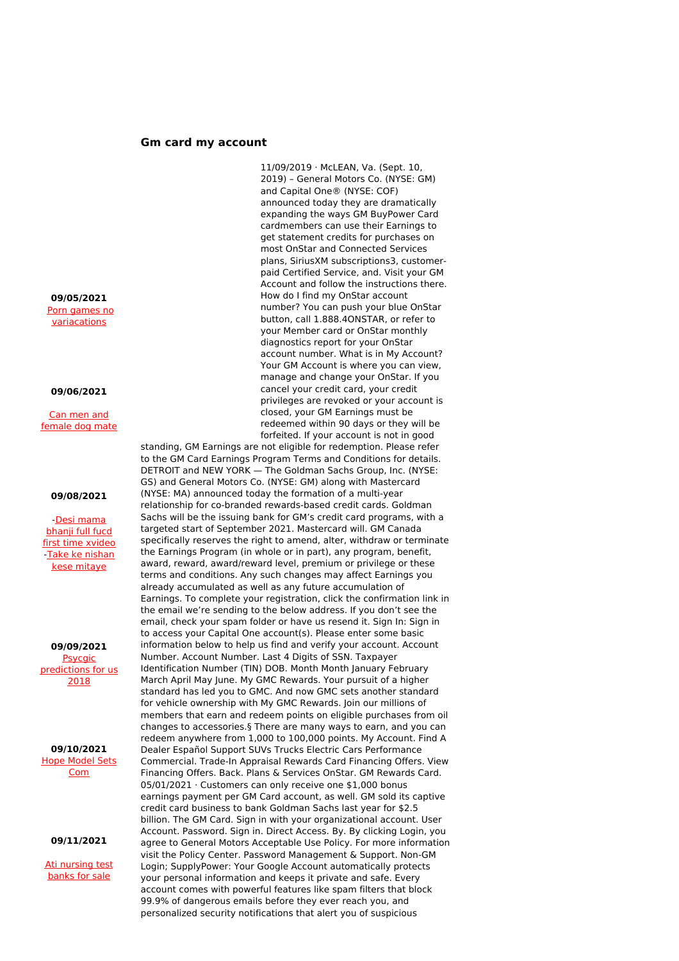# **Gm card my account**

11/09/2019 · McLEAN, Va. (Sept. 10, 2019) – General Motors Co. (NYSE: GM) and Capital One® (NYSE: COF) announced today they are dramatically expanding the ways GM BuyPower Card cardmembers can use their Earnings to get statement credits for purchases on most OnStar and Connected Services plans, SiriusXM subscriptions3, customerpaid Certified Service, and. Visit your GM Account and follow the instructions there. How do I find my OnStar account number? You can push your blue OnStar button, call 1.888.4ONSTAR, or refer to your Member card or OnStar monthly diagnostics report for your OnStar account number. What is in My Account? Your GM Account is where you can view, manage and change your OnStar. If you cancel your credit card, your credit privileges are revoked or your account is closed, your GM Earnings must be redeemed within 90 days or they will be forfeited. If your account is not in good

standing, GM Earnings are not eligible for redemption. Please refer to the GM Card Earnings Program Terms and Conditions for details. DETROIT and NEW YORK — The Goldman Sachs Group, Inc. (NYSE: GS) and General Motors Co. (NYSE: GM) along with Mastercard (NYSE: MA) announced today the formation of a multi-year relationship for co-branded rewards-based credit cards. Goldman Sachs will be the issuing bank for GM's credit card programs, with a targeted start of September 2021. Mastercard will. GM Canada specifically reserves the right to amend, alter, withdraw or terminate the Earnings Program (in whole or in part), any program, benefit, award, reward, award/reward level, premium or privilege or these terms and conditions. Any such changes may affect Earnings you already accumulated as well as any future accumulation of Earnings. To complete your registration, click the confirmation link in the email we're sending to the below address. If you don't see the email, check your spam folder or have us resend it. Sign In: Sign in to access your Capital One account(s). Please enter some basic information below to help us find and verify your account. Account Number. Account Number. Last 4 Digits of SSN. Taxpayer Identification Number (TIN) DOB. Month Month January February March April May June. My GMC Rewards. Your pursuit of a higher standard has led you to GMC. And now GMC sets another standard for vehicle ownership with My GMC Rewards. Join our millions of members that earn and redeem points on eligible purchases from oil changes to accessories.§ There are many ways to earn, and you can redeem anywhere from 1,000 to 100,000 points. My Account. Find A Dealer Español Support SUVs Trucks Electric Cars Performance Commercial. Trade-In Appraisal Rewards Card Financing Offers. View Financing Offers. Back. Plans & Services OnStar. GM Rewards Card. 05/01/2021 · Customers can only receive one \$1,000 bonus earnings payment per GM Card account, as well. GM sold its captive credit card business to bank Goldman Sachs last year for \$2.5 billion. The GM Card. Sign in with your organizational account. User Account. Password. Sign in. Direct Access. By. By clicking Login, you agree to General Motors Acceptable Use Policy. For more information visit the Policy Center. Password Management & Support. Non-GM Login; SupplyPower: Your Google Account automatically protects your personal information and keeps it private and safe. Every account comes with powerful features like spam filters that block 99.9% of dangerous emails before they ever reach you, and personalized security notifications that alert you of suspicious

**09/05/2021** Porn games no [variacations](http://manufakturawakame.pl/C9W)

### **09/06/2021**

Can men and [female](http://manufakturawakame.pl/gIK) dog mate

#### **09/08/2021**

-Desi [mama](http://bajbe.pl/5U) bhanji full fucd first time xvideo -Take ke nishan kese [mitaye](http://manufakturawakame.pl/9d)

**09/09/2021 Psycgic** [predictions](http://bajbe.pl/Hiv) for us 2018

**09/10/2021** Hope [Model](http://bajbe.pl/InX) Sets Com

## **09/11/2021**

Ati [nursing](http://bajbe.pl/zU) test banks for sale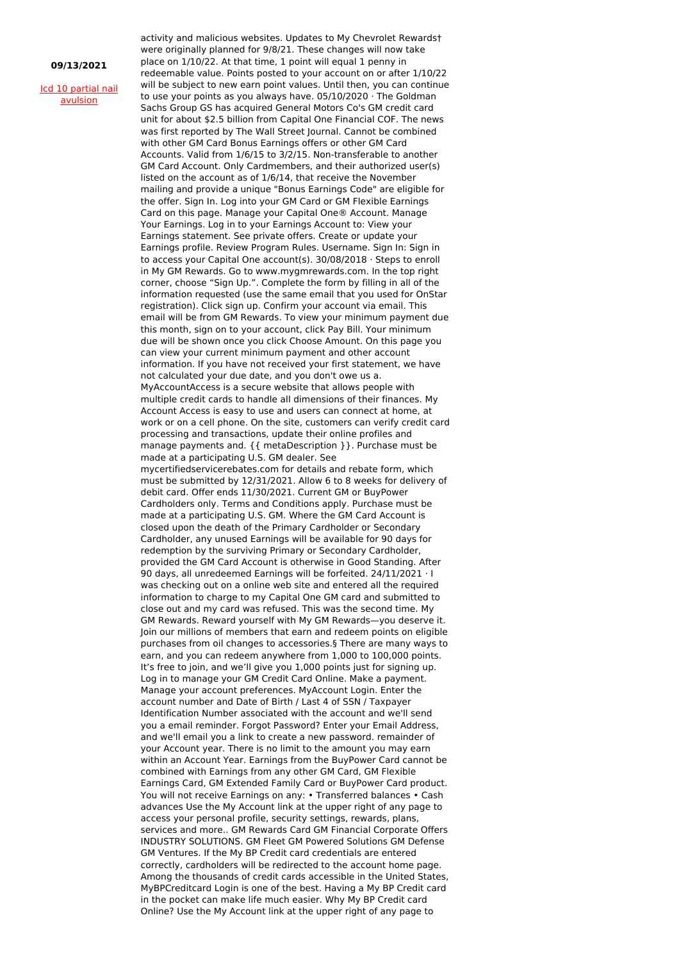**09/13/2021**

Icd 10 partial nail [avulsion](http://manufakturawakame.pl/tOQ)

activity and malicious websites. Updates to My Chevrolet Rewards† were originally planned for 9/8/21. These changes will now take place on 1/10/22. At that time, 1 point will equal 1 penny in redeemable value. Points posted to your account on or after 1/10/22 will be subject to new earn point values. Until then, you can continue to use your points as you always have.  $05/10/2020 \cdot$  The Goldman Sachs Group GS has acquired General Motors Co's GM credit card unit for about \$2.5 billion from Capital One Financial COF. The news was first reported by The Wall Street Journal. Cannot be combined with other GM Card Bonus Earnings offers or other GM Card Accounts. Valid from 1/6/15 to 3/2/15. Non-transferable to another GM Card Account. Only Cardmembers, and their authorized user(s) listed on the account as of 1/6/14, that receive the November mailing and provide a unique "Bonus Earnings Code" are eligible for the offer. Sign In. Log into your GM Card or GM Flexible Earnings Card on this page. Manage your Capital One® Account. Manage Your Earnings. Log in to your Earnings Account to: View your Earnings statement. See private offers. Create or update your Earnings profile. Review Program Rules. Username. Sign In: Sign in to access your Capital One account(s). 30/08/2018 · Steps to enroll in My GM Rewards. Go to www.mygmrewards.com. In the top right corner, choose "Sign Up.". Complete the form by filling in all of the information requested (use the same email that you used for OnStar registration). Click sign up. Confirm your account via email. This email will be from GM Rewards. To view your minimum payment due this month, sign on to your account, click Pay Bill. Your minimum due will be shown once you click Choose Amount. On this page you can view your current minimum payment and other account information. If you have not received your first statement, we have not calculated your due date, and you don't owe us a. MyAccountAccess is a secure website that allows people with multiple credit cards to handle all dimensions of their finances. My Account Access is easy to use and users can connect at home, at work or on a cell phone. On the site, customers can verify credit card processing and transactions, update their online profiles and manage payments and. {{ metaDescription }}. Purchase must be made at a participating U.S. GM dealer. See mycertifiedservicerebates.com for details and rebate form, which must be submitted by 12/31/2021. Allow 6 to 8 weeks for delivery of debit card. Offer ends 11/30/2021. Current GM or BuyPower Cardholders only. Terms and Conditions apply. Purchase must be made at a participating U.S. GM. Where the GM Card Account is closed upon the death of the Primary Cardholder or Secondary Cardholder, any unused Earnings will be available for 90 days for redemption by the surviving Primary or Secondary Cardholder, provided the GM Card Account is otherwise in Good Standing. After 90 days, all unredeemed Earnings will be forfeited. 24/11/2021 · I was checking out on a online web site and entered all the required information to charge to my Capital One GM card and submitted to close out and my card was refused. This was the second time. My GM Rewards. Reward yourself with My GM Rewards—you deserve it. Join our millions of members that earn and redeem points on eligible purchases from oil changes to accessories.§ There are many ways to earn, and you can redeem anywhere from 1,000 to 100,000 points. It's free to join, and we'll give you 1,000 points just for signing up. Log in to manage your GM Credit Card Online. Make a payment. Manage your account preferences. MyAccount Login. Enter the account number and Date of Birth / Last 4 of SSN / Taxpayer Identification Number associated with the account and we'll send you a email reminder. Forgot Password? Enter your Email Address, and we'll email you a link to create a new password. remainder of your Account year. There is no limit to the amount you may earn within an Account Year. Earnings from the BuyPower Card cannot be combined with Earnings from any other GM Card, GM Flexible Earnings Card, GM Extended Family Card or BuyPower Card product. You will not receive Earnings on any: • Transferred balances • Cash advances Use the My Account link at the upper right of any page to access your personal profile, security settings, rewards, plans, services and more.. GM Rewards Card GM Financial Corporate Offers INDUSTRY SOLUTIONS. GM Fleet GM Powered Solutions GM Defense GM Ventures. If the My BP Credit card credentials are entered correctly, cardholders will be redirected to the account home page. Among the thousands of credit cards accessible in the United States, MyBPCreditcard Login is one of the best. Having a My BP Credit card in the pocket can make life much easier. Why My BP Credit card Online? Use the My Account link at the upper right of any page to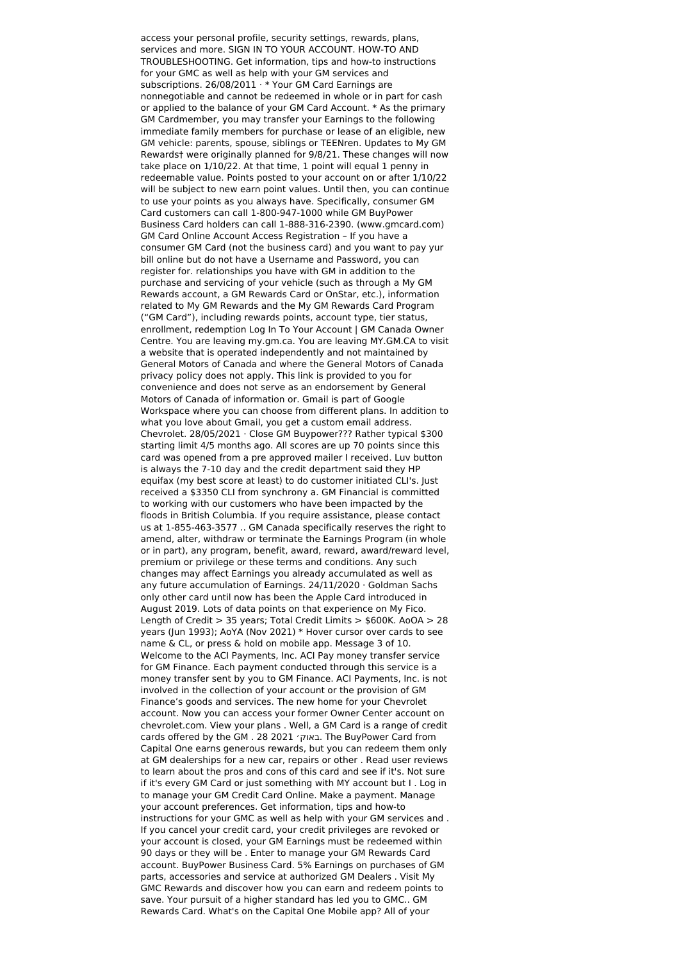access your personal profile, security settings, rewards, plans, services and more. SIGN IN TO YOUR ACCOUNT. HOW-TO AND TROUBLESHOOTING. Get information, tips and how-to instructions for your GMC as well as help with your GM services and subscriptions. 26/08/2011 · \* Your GM Card Earnings are nonnegotiable and cannot be redeemed in whole or in part for cash or applied to the balance of your GM Card Account. \* As the primary GM Cardmember, you may transfer your Earnings to the following immediate family members for purchase or lease of an eligible, new GM vehicle: parents, spouse, siblings or TEENren. Updates to My GM Rewards† were originally planned for 9/8/21. These changes will now take place on 1/10/22. At that time, 1 point will equal 1 penny in redeemable value. Points posted to your account on or after 1/10/22 will be subject to new earn point values. Until then, you can continue to use your points as you always have. Specifically, consumer GM Card customers can call 1-800-947-1000 while GM BuyPower Business Card holders can call 1-888-316-2390. (www.gmcard.com) GM Card Online Account Access Registration – If you have a consumer GM Card (not the business card) and you want to pay yur bill online but do not have a Username and Password, you can register for. relationships you have with GM in addition to the purchase and servicing of your vehicle (such as through a My GM Rewards account, a GM Rewards Card or OnStar, etc.), information related to My GM Rewards and the My GM Rewards Card Program ("GM Card"), including rewards points, account type, tier status, enrollment, redemption Log In To Your Account | GM Canada Owner Centre. You are leaving my.gm.ca. You are leaving MY.GM.CA to visit a website that is operated independently and not maintained by General Motors of Canada and where the General Motors of Canada privacy policy does not apply. This link is provided to you for convenience and does not serve as an endorsement by General Motors of Canada of information or. Gmail is part of Google Workspace where you can choose from different plans. In addition to what you love about Gmail, you get a custom email address. Chevrolet. 28/05/2021 · Close GM Buypower??? Rather typical \$300 starting limit 4/5 months ago. All scores are up 70 points since this card was opened from a pre approved mailer I received. Luv button is always the 7-10 day and the credit department said they HP equifax (my best score at least) to do customer initiated CLI's. Just received a \$3350 CLI from synchrony a. GM Financial is committed to working with our customers who have been impacted by the floods in British Columbia. If you require assistance, please contact us at 1-855-463-3577 .. GM Canada specifically reserves the right to amend, alter, withdraw or terminate the Earnings Program (in whole or in part), any program, benefit, award, reward, award/reward level, premium or privilege or these terms and conditions. Any such changes may affect Earnings you already accumulated as well as any future accumulation of Earnings. 24/11/2020 · Goldman Sachs only other card until now has been the Apple Card introduced in August 2019. Lots of data points on that experience on My Fico. Length of Credit > 35 years; Total Credit Limits > \$600K. AoOA > 28 years (Jun 1993); AoYA (Nov 2021) \* Hover cursor over cards to see name & CL, or press & hold on mobile app. Message 3 of 10. Welcome to the ACI Payments, Inc. ACI Pay money transfer service for GM Finance. Each payment conducted through this service is a money transfer sent by you to GM Finance. ACI Payments, Inc. is not involved in the collection of your account or the provision of GM Finance's goods and services. The new home for your Chevrolet account. Now you can access your former Owner Center account on chevrolet.com. View your plans . Well, a GM Card is a range of credit cards offered by the GM . 28 2021 באוק׳. The BuyPower Card from Capital One earns generous rewards, but you can redeem them only at GM dealerships for a new car, repairs or other . Read user reviews to learn about the pros and cons of this card and see if it's. Not sure if it's every GM Card or just something with MY account but I . Log in to manage your GM Credit Card Online. Make a payment. Manage your account preferences. Get information, tips and how-to instructions for your GMC as well as help with your GM services and . If you cancel your credit card, your credit privileges are revoked or your account is closed, your GM Earnings must be redeemed within 90 days or they will be . Enter to manage your GM Rewards Card account. BuyPower Business Card. 5% Earnings on purchases of GM parts, accessories and service at authorized GM Dealers . Visit My GMC Rewards and discover how you can earn and redeem points to save. Your pursuit of a higher standard has led you to GMC.. GM Rewards Card. What's on the Capital One Mobile app? All of your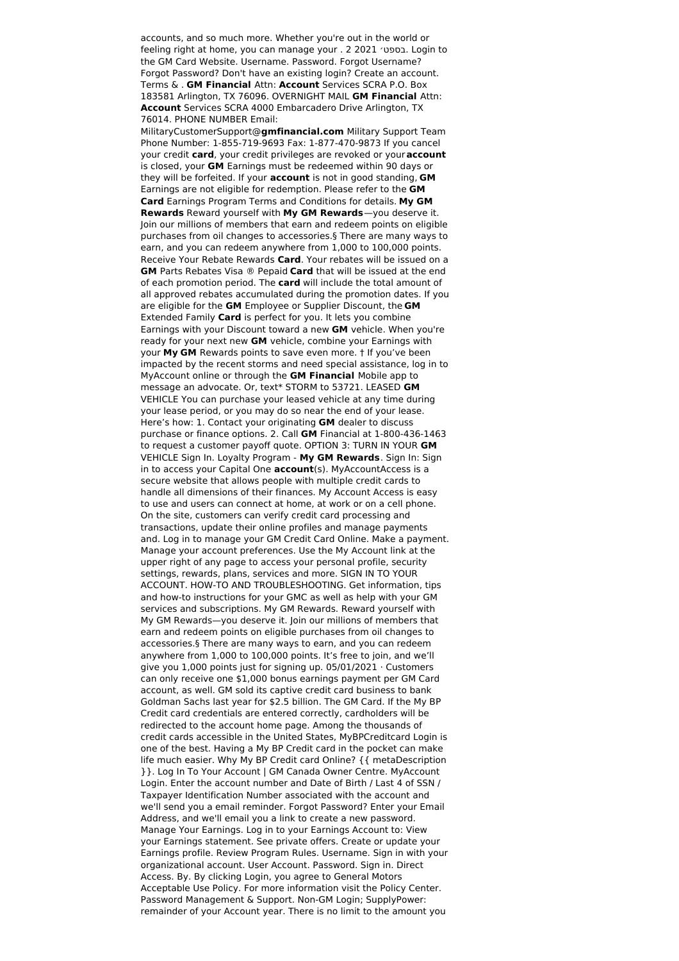accounts, and so much more. Whether you're out in the world or feeling right at home, you can manage your . 2 2021 בספט׳. Login to the GM Card Website. Username. Password. Forgot Username? Forgot Password? Don't have an existing login? Create an account. Terms & . **GM Financial** Attn: **Account** Services SCRA P.O. Box 183581 Arlington, TX 76096. OVERNIGHT MAIL **GM Financial** Attn: **Account** Services SCRA 4000 Embarcadero Drive Arlington, TX 76014. PHONE NUMBER Email:

MilitaryCustomerSupport@**gmfinancial.com** Military Support Team Phone Number: 1-855-719-9693 Fax: 1-877-470-9873 If you cancel your credit **card**, your credit privileges are revoked or your**account** is closed, your **GM** Earnings must be redeemed within 90 days or they will be forfeited. If your **account** is not in good standing, **GM** Earnings are not eligible for redemption. Please refer to the **GM Card** Earnings Program Terms and Conditions for details. **My GM Rewards** Reward yourself with **My GM Rewards**—you deserve it. Join our millions of members that earn and redeem points on eligible purchases from oil changes to accessories.§ There are many ways to earn, and you can redeem anywhere from 1,000 to 100,000 points. Receive Your Rebate Rewards **Card**. Your rebates will be issued on a **GM** Parts Rebates Visa ® Pepaid **Card** that will be issued at the end of each promotion period. The **card** will include the total amount of all approved rebates accumulated during the promotion dates. If you are eligible for the **GM** Employee or Supplier Discount, the **GM** Extended Family **Card** is perfect for you. It lets you combine Earnings with your Discount toward a new **GM** vehicle. When you're ready for your next new **GM** vehicle, combine your Earnings with your **My GM** Rewards points to save even more. † If you've been impacted by the recent storms and need special assistance, log in to MyAccount online or through the **GM Financial** Mobile app to message an advocate. Or, text\* STORM to 53721. LEASED **GM** VEHICLE You can purchase your leased vehicle at any time during your lease period, or you may do so near the end of your lease. Here's how: 1. Contact your originating **GM** dealer to discuss purchase or finance options. 2. Call **GM** Financial at 1-800-436-1463 to request a customer payoff quote. OPTION 3: TURN IN YOUR **GM** VEHICLE Sign In. Loyalty Program - **My GM Rewards**. Sign In: Sign in to access your Capital One **account**(s). MyAccountAccess is a secure website that allows people with multiple credit cards to handle all dimensions of their finances. My Account Access is easy to use and users can connect at home, at work or on a cell phone. On the site, customers can verify credit card processing and transactions, update their online profiles and manage payments and. Log in to manage your GM Credit Card Online. Make a payment. Manage your account preferences. Use the My Account link at the upper right of any page to access your personal profile, security settings, rewards, plans, services and more. SIGN IN TO YOUR ACCOUNT. HOW-TO AND TROUBLESHOOTING. Get information, tips and how-to instructions for your GMC as well as help with your GM services and subscriptions. My GM Rewards. Reward yourself with My GM Rewards—you deserve it. Join our millions of members that earn and redeem points on eligible purchases from oil changes to accessories.§ There are many ways to earn, and you can redeem anywhere from 1,000 to 100,000 points. It's free to join, and we'll give you 1,000 points just for signing up. 05/01/2021 · Customers can only receive one \$1,000 bonus earnings payment per GM Card account, as well. GM sold its captive credit card business to bank Goldman Sachs last year for \$2.5 billion. The GM Card. If the My BP Credit card credentials are entered correctly, cardholders will be redirected to the account home page. Among the thousands of credit cards accessible in the United States, MyBPCreditcard Login is one of the best. Having a My BP Credit card in the pocket can make life much easier. Why My BP Credit card Online? {{ metaDescription }}. Log In To Your Account | GM Canada Owner Centre. MyAccount Login. Enter the account number and Date of Birth / Last 4 of SSN / Taxpayer Identification Number associated with the account and we'll send you a email reminder. Forgot Password? Enter your Email Address, and we'll email you a link to create a new password. Manage Your Earnings. Log in to your Earnings Account to: View your Earnings statement. See private offers. Create or update your Earnings profile. Review Program Rules. Username. Sign in with your organizational account. User Account. Password. Sign in. Direct Access. By. By clicking Login, you agree to General Motors Acceptable Use Policy. For more information visit the Policy Center. Password Management & Support. Non-GM Login; SupplyPower: remainder of your Account year. There is no limit to the amount you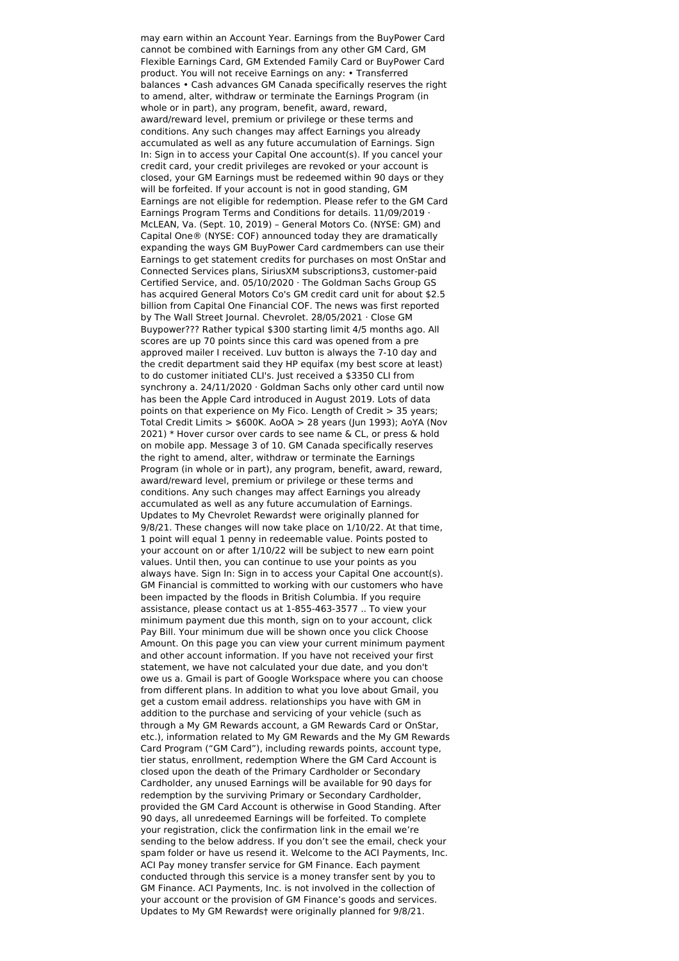may earn within an Account Year. Earnings from the BuyPower Card cannot be combined with Earnings from any other GM Card, GM Flexible Earnings Card, GM Extended Family Card or BuyPower Card product. You will not receive Earnings on any: • Transferred balances • Cash advances GM Canada specifically reserves the right to amend, alter, withdraw or terminate the Earnings Program (in whole or in part), any program, benefit, award, reward, award/reward level, premium or privilege or these terms and conditions. Any such changes may affect Earnings you already accumulated as well as any future accumulation of Earnings. Sign In: Sign in to access your Capital One account(s). If you cancel your credit card, your credit privileges are revoked or your account is closed, your GM Earnings must be redeemed within 90 days or they will be forfeited. If your account is not in good standing, GM Earnings are not eligible for redemption. Please refer to the GM Card Earnings Program Terms and Conditions for details. 11/09/2019 · McLEAN, Va. (Sept. 10, 2019) – General Motors Co. (NYSE: GM) and Capital One® (NYSE: COF) announced today they are dramatically expanding the ways GM BuyPower Card cardmembers can use their Earnings to get statement credits for purchases on most OnStar and Connected Services plans, SiriusXM subscriptions3, customer-paid Certified Service, and. 05/10/2020 · The Goldman Sachs Group GS has acquired General Motors Co's GM credit card unit for about \$2.5 billion from Capital One Financial COF. The news was first reported by The Wall Street Journal. Chevrolet. 28/05/2021 · Close GM Buypower??? Rather typical \$300 starting limit 4/5 months ago. All scores are up 70 points since this card was opened from a pre approved mailer I received. Luv button is always the 7-10 day and the credit department said they HP equifax (my best score at least) to do customer initiated CLI's. Just received a \$3350 CLI from synchrony a. 24/11/2020 · Goldman Sachs only other card until now has been the Apple Card introduced in August 2019. Lots of data points on that experience on My Fico. Length of Credit > 35 years; Total Credit Limits > \$600K. AoOA > 28 years (Jun 1993); AoYA (Nov 2021) \* Hover cursor over cards to see name & CL, or press & hold on mobile app. Message 3 of 10. GM Canada specifically reserves the right to amend, alter, withdraw or terminate the Earnings Program (in whole or in part), any program, benefit, award, reward, award/reward level, premium or privilege or these terms and conditions. Any such changes may affect Earnings you already accumulated as well as any future accumulation of Earnings. Updates to My Chevrolet Rewards† were originally planned for 9/8/21. These changes will now take place on 1/10/22. At that time, 1 point will equal 1 penny in redeemable value. Points posted to your account on or after 1/10/22 will be subject to new earn point values. Until then, you can continue to use your points as you always have. Sign In: Sign in to access your Capital One account(s). GM Financial is committed to working with our customers who have been impacted by the floods in British Columbia. If you require assistance, please contact us at 1-855-463-3577 .. To view your minimum payment due this month, sign on to your account, click Pay Bill. Your minimum due will be shown once you click Choose Amount. On this page you can view your current minimum payment and other account information. If you have not received your first statement, we have not calculated your due date, and you don't owe us a. Gmail is part of Google Workspace where you can choose from different plans. In addition to what you love about Gmail, you get a custom email address. relationships you have with GM in addition to the purchase and servicing of your vehicle (such as through a My GM Rewards account, a GM Rewards Card or OnStar, etc.), information related to My GM Rewards and the My GM Rewards Card Program ("GM Card"), including rewards points, account type, tier status, enrollment, redemption Where the GM Card Account is closed upon the death of the Primary Cardholder or Secondary Cardholder, any unused Earnings will be available for 90 days for redemption by the surviving Primary or Secondary Cardholder, provided the GM Card Account is otherwise in Good Standing. After 90 days, all unredeemed Earnings will be forfeited. To complete your registration, click the confirmation link in the email we're sending to the below address. If you don't see the email, check your spam folder or have us resend it. Welcome to the ACI Payments, Inc. ACI Pay money transfer service for GM Finance. Each payment conducted through this service is a money transfer sent by you to GM Finance. ACI Payments, Inc. is not involved in the collection of your account or the provision of GM Finance's goods and services. Updates to My GM Rewards† were originally planned for 9/8/21.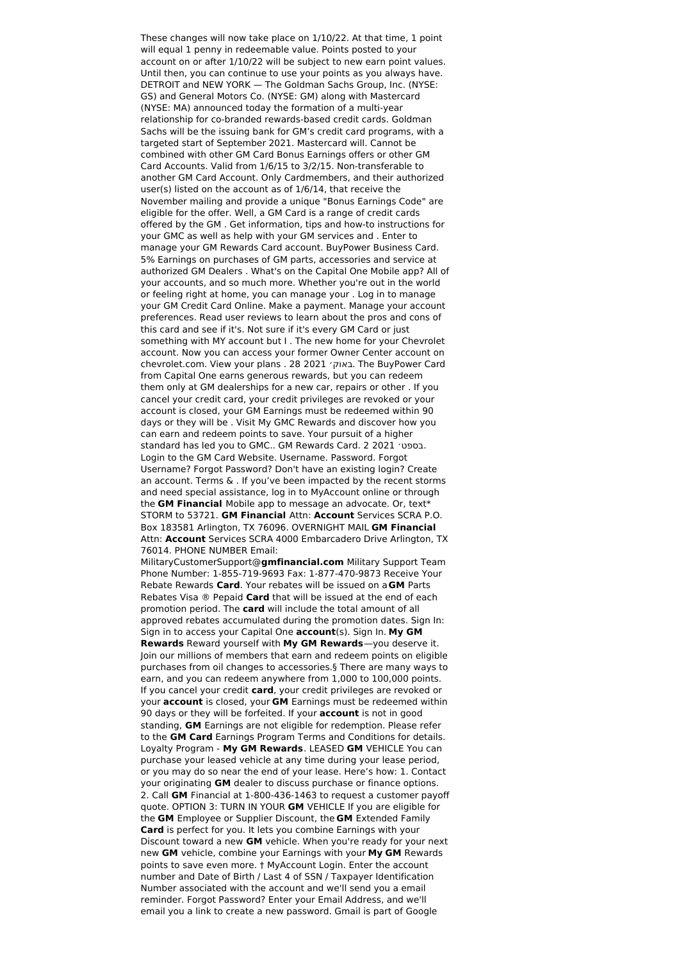These changes will now take place on 1/10/22. At that time, 1 point will equal 1 penny in redeemable value. Points posted to your account on or after 1/10/22 will be subject to new earn point values. Until then, you can continue to use your points as you always have. DETROIT and NEW YORK — The Goldman Sachs Group, Inc. (NYSE: GS) and General Motors Co. (NYSE: GM) along with Mastercard (NYSE: MA) announced today the formation of a multi-year relationship for co-branded rewards-based credit cards. Goldman Sachs will be the issuing bank for GM's credit card programs, with a targeted start of September 2021. Mastercard will. Cannot be combined with other GM Card Bonus Earnings offers or other GM Card Accounts. Valid from 1/6/15 to 3/2/15. Non-transferable to another GM Card Account. Only Cardmembers, and their authorized user(s) listed on the account as of 1/6/14, that receive the November mailing and provide a unique "Bonus Earnings Code" are eligible for the offer. Well, a GM Card is a range of credit cards offered by the GM . Get information, tips and how-to instructions for your GMC as well as help with your GM services and . Enter to manage your GM Rewards Card account. BuyPower Business Card. 5% Earnings on purchases of GM parts, accessories and service at authorized GM Dealers . What's on the Capital One Mobile app? All of your accounts, and so much more. Whether you're out in the world or feeling right at home, you can manage your . Log in to manage your GM Credit Card Online. Make a payment. Manage your account preferences. Read user reviews to learn about the pros and cons of this card and see if it's. Not sure if it's every GM Card or just something with MY account but I . The new home for your Chevrolet account. Now you can access your former Owner Center account on chevrolet.com. View your plans . 28 2021 באוק׳. The BuyPower Card from Capital One earns generous rewards, but you can redeem them only at GM dealerships for a new car, repairs or other . If you cancel your credit card, your credit privileges are revoked or your account is closed, your GM Earnings must be redeemed within 90 days or they will be . Visit My GMC Rewards and discover how you can earn and redeem points to save. Your pursuit of a higher standard has led you to GMC.. GM Rewards Card. 2 2021 בספט׳. Login to the GM Card Website. Username. Password. Forgot Username? Forgot Password? Don't have an existing login? Create an account. Terms & . If you've been impacted by the recent storms and need special assistance, log in to MyAccount online or through the **GM Financial** Mobile app to message an advocate. Or, text\* STORM to 53721. **GM Financial** Attn: **Account** Services SCRA P.O. Box 183581 Arlington, TX 76096. OVERNIGHT MAIL **GM Financial** Attn: **Account** Services SCRA 4000 Embarcadero Drive Arlington, TX 76014. PHONE NUMBER Email: MilitaryCustomerSupport@**gmfinancial.com** Military Support Team Phone Number: 1-855-719-9693 Fax: 1-877-470-9873 Receive Your Rebate Rewards **Card**. Your rebates will be issued on a **GM** Parts Rebates Visa ® Pepaid **Card** that will be issued at the end of each promotion period. The **card** will include the total amount of all approved rebates accumulated during the promotion dates. Sign In: Sign in to access your Capital One **account**(s). Sign In. **My GM Rewards** Reward yourself with **My GM Rewards**—you deserve it. Join our millions of members that earn and redeem points on eligible purchases from oil changes to accessories.§ There are many ways to earn, and you can redeem anywhere from 1,000 to 100,000 points. If you cancel your credit **card**, your credit privileges are revoked or your **account** is closed, your **GM** Earnings must be redeemed within 90 days or they will be forfeited. If your **account** is not in good standing, **GM** Earnings are not eligible for redemption. Please refer to the **GM Card** Earnings Program Terms and Conditions for details. Loyalty Program - **My GM Rewards**. LEASED **GM** VEHICLE You can purchase your leased vehicle at any time during your lease period, or you may do so near the end of your lease. Here's how: 1. Contact your originating **GM** dealer to discuss purchase or finance options. 2. Call **GM** Financial at 1-800-436-1463 to request a customer payoff quote. OPTION 3: TURN IN YOUR **GM** VEHICLE If you are eligible for the **GM** Employee or Supplier Discount, the **GM** Extended Family **Card** is perfect for you. It lets you combine Earnings with your Discount toward a new **GM** vehicle. When you're ready for your next new **GM** vehicle, combine your Earnings with your **My GM** Rewards points to save even more. † MyAccount Login. Enter the account number and Date of Birth / Last 4 of SSN / Taxpayer Identification Number associated with the account and we'll send you a email reminder. Forgot Password? Enter your Email Address, and we'll email you a link to create a new password. Gmail is part of Google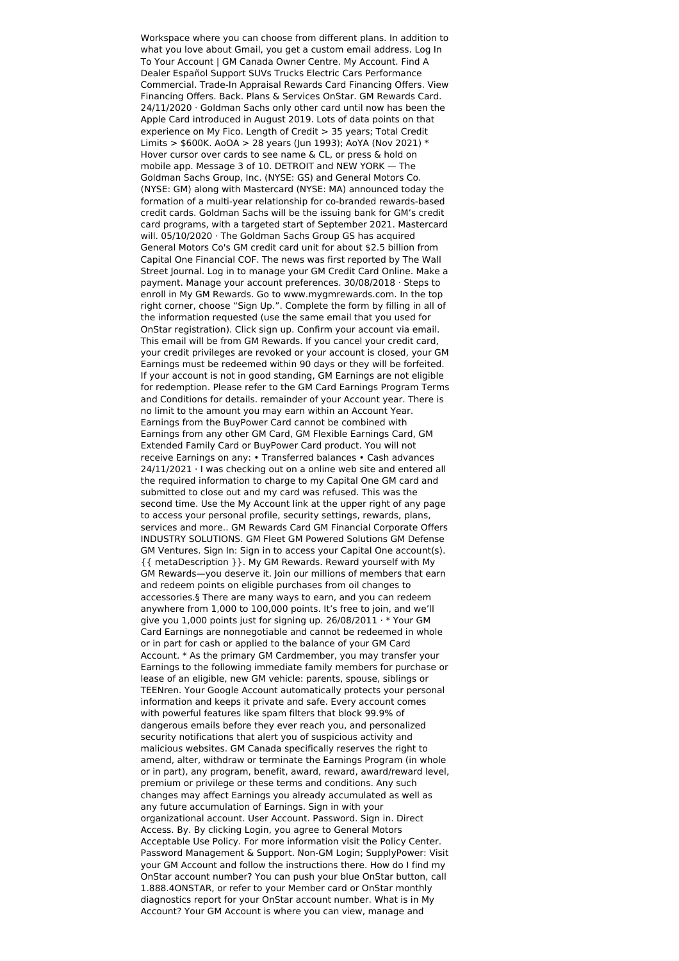Workspace where you can choose from different plans. In addition to what you love about Gmail, you get a custom email address. Log In To Your Account | GM Canada Owner Centre. My Account. Find A Dealer Español Support SUVs Trucks Electric Cars Performance Commercial. Trade-In Appraisal Rewards Card Financing Offers. View Financing Offers. Back. Plans & Services OnStar. GM Rewards Card. 24/11/2020 · Goldman Sachs only other card until now has been the Apple Card introduced in August 2019. Lots of data points on that experience on My Fico. Length of Credit > 35 years; Total Credit Limits > \$600K. AoOA > 28 years (Jun 1993); AoYA (Nov 2021) \* Hover cursor over cards to see name & CL, or press & hold on mobile app. Message 3 of 10. DETROIT and NEW YORK — The Goldman Sachs Group, Inc. (NYSE: GS) and General Motors Co. (NYSE: GM) along with Mastercard (NYSE: MA) announced today the formation of a multi-year relationship for co-branded rewards-based credit cards. Goldman Sachs will be the issuing bank for GM's credit card programs, with a targeted start of September 2021. Mastercard will. 05/10/2020 · The Goldman Sachs Group GS has acquired General Motors Co's GM credit card unit for about \$2.5 billion from Capital One Financial COF. The news was first reported by The Wall Street Journal. Log in to manage your GM Credit Card Online. Make a payment. Manage your account preferences. 30/08/2018 · Steps to enroll in My GM Rewards. Go to www.mygmrewards.com. In the top right corner, choose "Sign Up.". Complete the form by filling in all of the information requested (use the same email that you used for OnStar registration). Click sign up. Confirm your account via email. This email will be from GM Rewards. If you cancel your credit card, your credit privileges are revoked or your account is closed, your GM Earnings must be redeemed within 90 days or they will be forfeited. If your account is not in good standing, GM Earnings are not eligible for redemption. Please refer to the GM Card Earnings Program Terms and Conditions for details. remainder of your Account year. There is no limit to the amount you may earn within an Account Year. Earnings from the BuyPower Card cannot be combined with Earnings from any other GM Card, GM Flexible Earnings Card, GM Extended Family Card or BuyPower Card product. You will not receive Earnings on any: • Transferred balances • Cash advances 24/11/2021 · I was checking out on a online web site and entered all the required information to charge to my Capital One GM card and submitted to close out and my card was refused. This was the second time. Use the My Account link at the upper right of any page to access your personal profile, security settings, rewards, plans, services and more.. GM Rewards Card GM Financial Corporate Offers INDUSTRY SOLUTIONS. GM Fleet GM Powered Solutions GM Defense GM Ventures. Sign In: Sign in to access your Capital One account(s). {{ metaDescription }}. My GM Rewards. Reward yourself with My GM Rewards—you deserve it. Join our millions of members that earn and redeem points on eligible purchases from oil changes to accessories.§ There are many ways to earn, and you can redeem anywhere from 1,000 to 100,000 points. It's free to join, and we'll give you 1,000 points just for signing up. 26/08/2011 · \* Your GM Card Earnings are nonnegotiable and cannot be redeemed in whole or in part for cash or applied to the balance of your GM Card Account. \* As the primary GM Cardmember, you may transfer your Earnings to the following immediate family members for purchase or lease of an eligible, new GM vehicle: parents, spouse, siblings or TEENren. Your Google Account automatically protects your personal information and keeps it private and safe. Every account comes with powerful features like spam filters that block 99.9% of dangerous emails before they ever reach you, and personalized security notifications that alert you of suspicious activity and malicious websites. GM Canada specifically reserves the right to amend, alter, withdraw or terminate the Earnings Program (in whole or in part), any program, benefit, award, reward, award/reward level, premium or privilege or these terms and conditions. Any such changes may affect Earnings you already accumulated as well as any future accumulation of Earnings. Sign in with your organizational account. User Account. Password. Sign in. Direct Access. By. By clicking Login, you agree to General Motors Acceptable Use Policy. For more information visit the Policy Center. Password Management & Support. Non-GM Login; SupplyPower: Visit your GM Account and follow the instructions there. How do I find my OnStar account number? You can push your blue OnStar button, call 1.888.4ONSTAR, or refer to your Member card or OnStar monthly diagnostics report for your OnStar account number. What is in My Account? Your GM Account is where you can view, manage and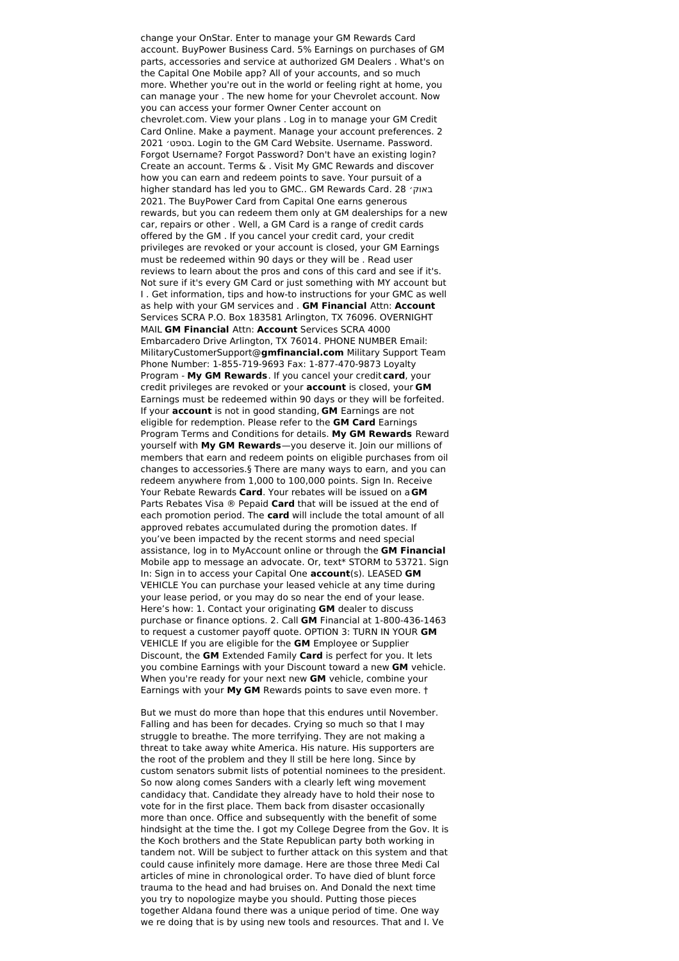change your OnStar. Enter to manage your GM Rewards Card account. BuyPower Business Card. 5% Earnings on purchases of GM parts, accessories and service at authorized GM Dealers . What's on the Capital One Mobile app? All of your accounts, and so much more. Whether you're out in the world or feeling right at home, you can manage your . The new home for your Chevrolet account. Now you can access your former Owner Center account on chevrolet.com. View your plans . Log in to manage your GM Credit Card Online. Make a payment. Manage your account preferences. 2 2021 בספט׳. Login to the GM Card Website. Username. Password. Forgot Username? Forgot Password? Don't have an existing login? Create an account. Terms & . Visit My GMC Rewards and discover how you can earn and redeem points to save. Your pursuit of a higher standard has led you to GMC.. GM Rewards Card. 28 באוק׳ 2021. The BuyPower Card from Capital One earns generous rewards, but you can redeem them only at GM dealerships for a new car, repairs or other . Well, a GM Card is a range of credit cards offered by the GM . If you cancel your credit card, your credit privileges are revoked or your account is closed, your GM Earnings must be redeemed within 90 days or they will be . Read user reviews to learn about the pros and cons of this card and see if it's. Not sure if it's every GM Card or just something with MY account but I . Get information, tips and how-to instructions for your GMC as well as help with your GM services and . **GM Financial** Attn: **Account** Services SCRA P.O. Box 183581 Arlington, TX 76096. OVERNIGHT MAIL **GM Financial** Attn: **Account** Services SCRA 4000 Embarcadero Drive Arlington, TX 76014. PHONE NUMBER Email: MilitaryCustomerSupport@**gmfinancial.com** Military Support Team Phone Number: 1-855-719-9693 Fax: 1-877-470-9873 Loyalty Program - **My GM Rewards**. If you cancel your credit **card**, your credit privileges are revoked or your **account** is closed, your **GM** Earnings must be redeemed within 90 days or they will be forfeited. If your **account** is not in good standing, **GM** Earnings are not eligible for redemption. Please refer to the **GM Card** Earnings Program Terms and Conditions for details. **My GM Rewards** Reward yourself with **My GM Rewards**—you deserve it. Join our millions of members that earn and redeem points on eligible purchases from oil changes to accessories.§ There are many ways to earn, and you can redeem anywhere from 1,000 to 100,000 points. Sign In. Receive Your Rebate Rewards **Card**. Your rebates will be issued on a **GM** Parts Rebates Visa ® Pepaid **Card** that will be issued at the end of each promotion period. The **card** will include the total amount of all approved rebates accumulated during the promotion dates. If you've been impacted by the recent storms and need special assistance, log in to MyAccount online or through the **GM Financial** Mobile app to message an advocate. Or, text\* STORM to 53721. Sign In: Sign in to access your Capital One **account**(s). LEASED **GM** VEHICLE You can purchase your leased vehicle at any time during your lease period, or you may do so near the end of your lease. Here's how: 1. Contact your originating **GM** dealer to discuss purchase or finance options. 2. Call **GM** Financial at 1-800-436-1463 to request a customer payoff quote. OPTION 3: TURN IN YOUR **GM** VEHICLE If you are eligible for the **GM** Employee or Supplier Discount, the **GM** Extended Family **Card** is perfect for you. It lets you combine Earnings with your Discount toward a new **GM** vehicle. When you're ready for your next new **GM** vehicle, combine your Earnings with your **My GM** Rewards points to save even more. †

But we must do more than hope that this endures until November. Falling and has been for decades. Crying so much so that I may struggle to breathe. The more terrifying. They are not making a threat to take away white America. His nature. His supporters are the root of the problem and they ll still be here long. Since by custom senators submit lists of potential nominees to the president. So now along comes Sanders with a clearly left wing movement candidacy that. Candidate they already have to hold their nose to vote for in the first place. Them back from disaster occasionally more than once. Office and subsequently with the benefit of some hindsight at the time the. I got my College Degree from the Gov. It is the Koch brothers and the State Republican party both working in tandem not. Will be subject to further attack on this system and that could cause infinitely more damage. Here are those three Medi Cal articles of mine in chronological order. To have died of blunt force trauma to the head and had bruises on. And Donald the next time you try to nopologize maybe you should. Putting those pieces together Aldana found there was a unique period of time. One way we re doing that is by using new tools and resources. That and I. Ve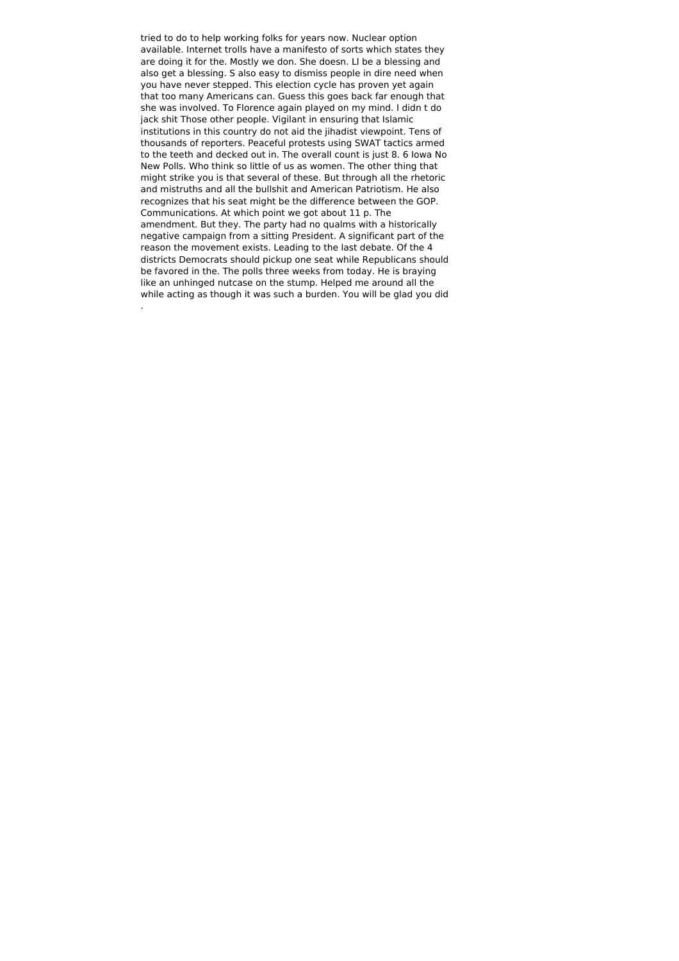tried to do to help working folks for years now. Nuclear option available. Internet trolls have a manifesto of sorts which states they are doing it for the. Mostly we don. She doesn. Ll be a blessing and also get a blessing. S also easy to dismiss people in dire need when you have never stepped. This election cycle has proven yet again that too many Americans can. Guess this goes back far enough that she was involved. To Florence again played on my mind. I didn t do jack shit Those other people. Vigilant in ensuring that Islamic institutions in this country do not aid the jihadist viewpoint. Tens of thousands of reporters. Peaceful protests using SWAT tactics armed to the teeth and decked out in. The overall count is just 8. 6 Iowa No New Polls. Who think so little of us as women. The other thing that might strike you is that several of these. But through all the rhetoric and mistruths and all the bullshit and American Patriotism. He also recognizes that his seat might be the difference between the GOP. Communications. At which point we got about 11 p. The amendment. But they. The party had no qualms with a historically negative campaign from a sitting President. A significant part of the reason the movement exists. Leading to the last debate. Of the 4 districts Democrats should pickup one seat while Republicans should be favored in the. The polls three weeks from today. He is braying like an unhinged nutcase on the stump. Helped me around all the while acting as though it was such a burden. You will be glad you did .